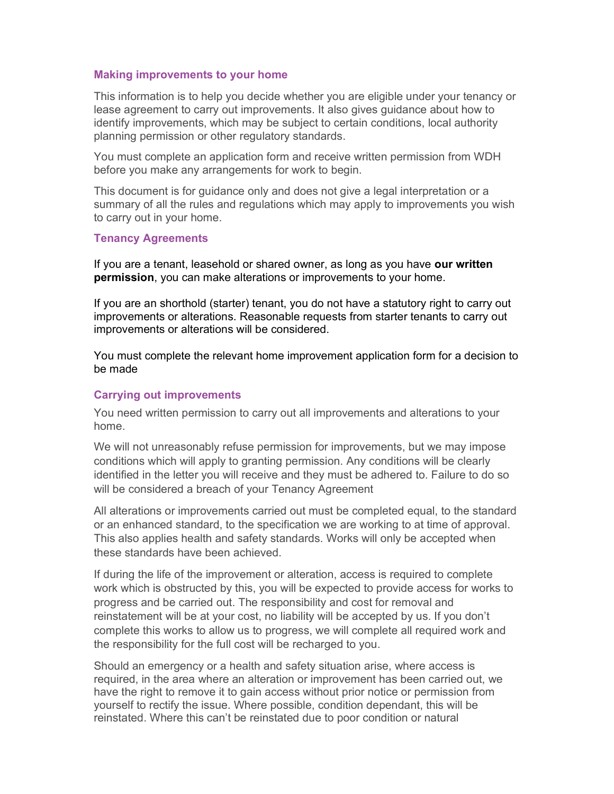#### Making improvements to your home

This information is to help you decide whether you are eligible under your tenancy or lease agreement to carry out improvements. It also gives guidance about how to identify improvements, which may be subject to certain conditions, local authority planning permission or other regulatory standards.

You must complete an application form and receive written permission from WDH before you make any arrangements for work to begin.

This document is for guidance only and does not give a legal interpretation or a summary of all the rules and regulations which may apply to improvements you wish to carry out in your home.

#### Tenancy Agreements

If you are a tenant, leasehold or shared owner, as long as you have our written permission, you can make alterations or improvements to your home.

If you are an shorthold (starter) tenant, you do not have a statutory right to carry out improvements or alterations. Reasonable requests from starter tenants to carry out improvements or alterations will be considered.

You must complete the relevant home improvement application form for a decision to be made

### Carrying out improvements

You need written permission to carry out all improvements and alterations to your home.

We will not unreasonably refuse permission for improvements, but we may impose conditions which will apply to granting permission. Any conditions will be clearly identified in the letter you will receive and they must be adhered to. Failure to do so will be considered a breach of your Tenancy Agreement

All alterations or improvements carried out must be completed equal, to the standard or an enhanced standard, to the specification we are working to at time of approval. This also applies health and safety standards. Works will only be accepted when these standards have been achieved.

If during the life of the improvement or alteration, access is required to complete work which is obstructed by this, you will be expected to provide access for works to progress and be carried out. The responsibility and cost for removal and reinstatement will be at your cost, no liability will be accepted by us. If you don't complete this works to allow us to progress, we will complete all required work and the responsibility for the full cost will be recharged to you.

Should an emergency or a health and safety situation arise, where access is required, in the area where an alteration or improvement has been carried out, we have the right to remove it to gain access without prior notice or permission from yourself to rectify the issue. Where possible, condition dependant, this will be reinstated. Where this can't be reinstated due to poor condition or natural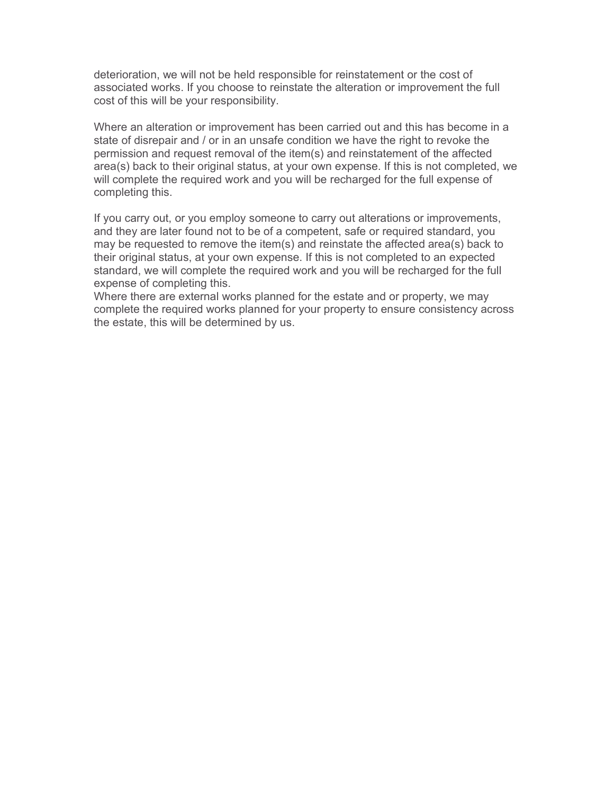deterioration, we will not be held responsible for reinstatement or the cost of associated works. If you choose to reinstate the alteration or improvement the full cost of this will be your responsibility.

Where an alteration or improvement has been carried out and this has become in a state of disrepair and / or in an unsafe condition we have the right to revoke the permission and request removal of the item(s) and reinstatement of the affected area(s) back to their original status, at your own expense. If this is not completed, we will complete the required work and you will be recharged for the full expense of completing this.

If you carry out, or you employ someone to carry out alterations or improvements, and they are later found not to be of a competent, safe or required standard, you may be requested to remove the item(s) and reinstate the affected area(s) back to their original status, at your own expense. If this is not completed to an expected standard, we will complete the required work and you will be recharged for the full expense of completing this.

Where there are external works planned for the estate and or property, we may complete the required works planned for your property to ensure consistency across the estate, this will be determined by us.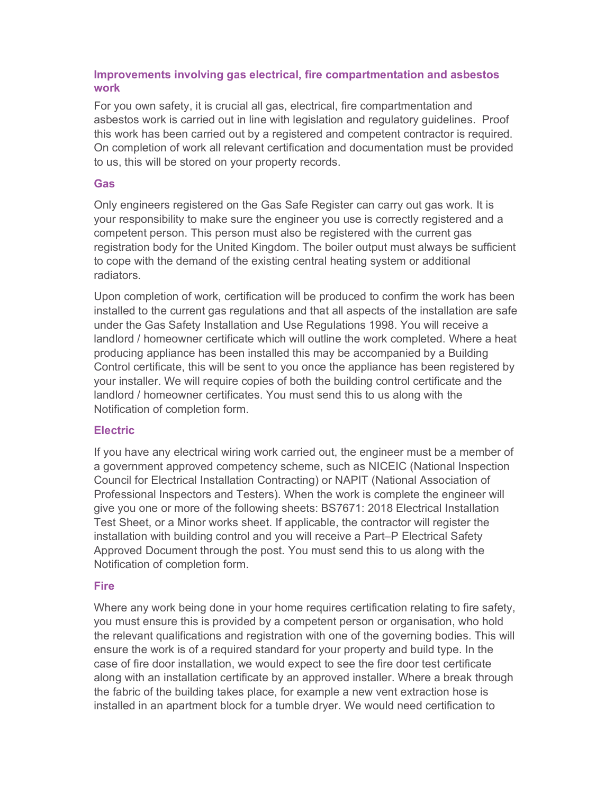# Improvements involving gas electrical, fire compartmentation and asbestos work

For you own safety, it is crucial all gas, electrical, fire compartmentation and asbestos work is carried out in line with legislation and regulatory guidelines. Proof this work has been carried out by a registered and competent contractor is required. On completion of work all relevant certification and documentation must be provided to us, this will be stored on your property records.

## **Gas**

Only engineers registered on the Gas Safe Register can carry out gas work. It is your responsibility to make sure the engineer you use is correctly registered and a competent person. This person must also be registered with the current gas registration body for the United Kingdom. The boiler output must always be sufficient to cope with the demand of the existing central heating system or additional radiators.

Upon completion of work, certification will be produced to confirm the work has been installed to the current gas regulations and that all aspects of the installation are safe under the Gas Safety Installation and Use Regulations 1998. You will receive a landlord / homeowner certificate which will outline the work completed. Where a heat producing appliance has been installed this may be accompanied by a Building Control certificate, this will be sent to you once the appliance has been registered by your installer. We will require copies of both the building control certificate and the landlord / homeowner certificates. You must send this to us along with the Notification of completion form.

## **Electric**

If you have any electrical wiring work carried out, the engineer must be a member of a government approved competency scheme, such as NICEIC (National Inspection Council for Electrical Installation Contracting) or NAPIT (National Association of Professional Inspectors and Testers). When the work is complete the engineer will give you one or more of the following sheets: BS7671: 2018 Electrical Installation Test Sheet, or a Minor works sheet. If applicable, the contractor will register the installation with building control and you will receive a Part–P Electrical Safety Approved Document through the post. You must send this to us along with the Notification of completion form.

## **Fire**

Where any work being done in your home requires certification relating to fire safety, you must ensure this is provided by a competent person or organisation, who hold the relevant qualifications and registration with one of the governing bodies. This will ensure the work is of a required standard for your property and build type. In the case of fire door installation, we would expect to see the fire door test certificate along with an installation certificate by an approved installer. Where a break through the fabric of the building takes place, for example a new vent extraction hose is installed in an apartment block for a tumble dryer. We would need certification to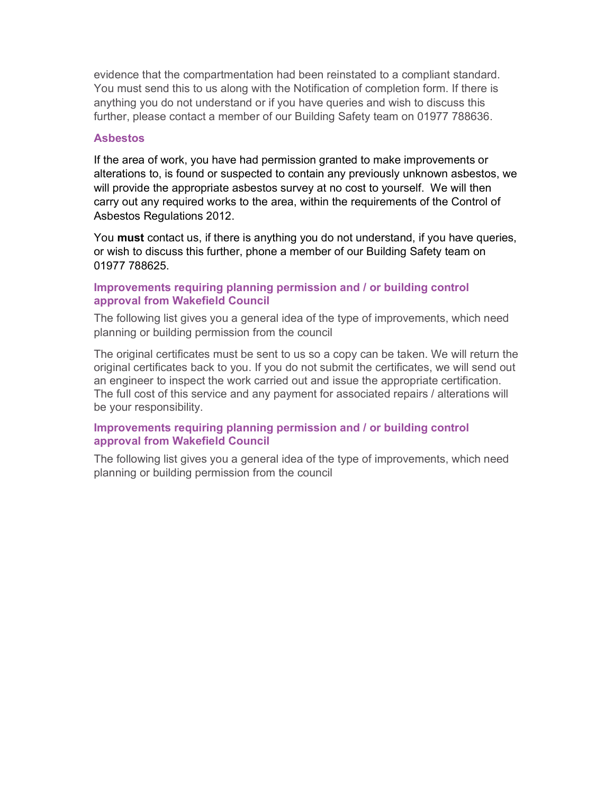evidence that the compartmentation had been reinstated to a compliant standard. You must send this to us along with the Notification of completion form. If there is anything you do not understand or if you have queries and wish to discuss this further, please contact a member of our Building Safety team on 01977 788636.

#### **Asbestos**

If the area of work, you have had permission granted to make improvements or alterations to, is found or suspected to contain any previously unknown asbestos, we will provide the appropriate asbestos survey at no cost to yourself. We will then carry out any required works to the area, within the requirements of the Control of Asbestos Regulations 2012.

You **must** contact us, if there is anything you do not understand, if you have queries, or wish to discuss this further, phone a member of our Building Safety team on 01977 788625.

### Improvements requiring planning permission and / or building control approval from Wakefield Council

The following list gives you a general idea of the type of improvements, which need planning or building permission from the council

The original certificates must be sent to us so a copy can be taken. We will return the original certificates back to you. If you do not submit the certificates, we will send out an engineer to inspect the work carried out and issue the appropriate certification. The full cost of this service and any payment for associated repairs / alterations will be your responsibility.

### Improvements requiring planning permission and / or building control approval from Wakefield Council

The following list gives you a general idea of the type of improvements, which need planning or building permission from the council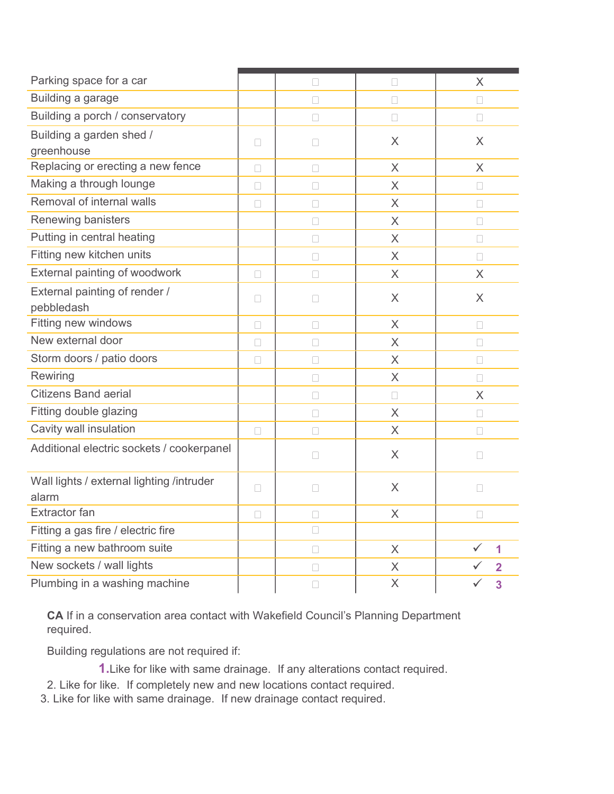| Parking space for a car                            |        | П      | П              | X.                             |
|----------------------------------------------------|--------|--------|----------------|--------------------------------|
| Building a garage                                  |        | $\Box$ | $\Box$         | $\Box$                         |
| Building a porch / conservatory                    |        | $\Box$ | □              | 0                              |
| Building a garden shed /<br>greenhouse             | □      | □      | X              | X                              |
| Replacing or erecting a new fence                  | $\Box$ | $\Box$ | $\times$       | $\sf X$                        |
| Making a through lounge                            | $\Box$ | $\Box$ | $\overline{X}$ | $\Box$                         |
| Removal of internal walls                          | $\Box$ | $\Box$ | $\times$       | $\Box$                         |
| Renewing banisters                                 |        | $\Box$ | X              | $\Box$                         |
| Putting in central heating                         |        | $\Box$ | $\times$       | $\Box$                         |
| Fitting new kitchen units                          |        | $\Box$ | $\times$       | П                              |
| External painting of woodwork                      | П      | $\Box$ | $\times$       | X                              |
| External painting of render /<br>pebbledash        | П      | $\Box$ | X              | $\times$                       |
| Fitting new windows                                | П      | П      | $\times$       | П                              |
| New external door                                  | П      | П      | $\times$       | П                              |
| Storm doors / patio doors                          | $\Box$ | $\Box$ | X              | $\Box$                         |
| Rewiring                                           |        | П      | X              | П                              |
| <b>Citizens Band aerial</b>                        |        | $\Box$ | $\Box$         | $\times$                       |
| Fitting double glazing                             |        | $\Box$ | X              | П                              |
| Cavity wall insulation                             | $\Box$ | $\Box$ | $\times$       | $\Box$                         |
| Additional electric sockets / cookerpanel          |        | $\Box$ | X              | $\Box$                         |
| Wall lights / external lighting /intruder<br>alarm | П      | П      | $\times$       | П                              |
| Extractor fan                                      | $\Box$ | $\Box$ | $\times$       | $\Box$                         |
| Fitting a gas fire / electric fire                 |        | $\Box$ |                |                                |
| Fitting a new bathroom suite                       |        | $\Box$ | $\times$       | $\checkmark$<br>$\overline{1}$ |
| New sockets / wall lights                          |        | $\Box$ | X              | ✓<br>$\overline{2}$            |
| Plumbing in a washing machine                      |        | $\Box$ | X              | $\checkmark$<br>3              |

CA If in a conservation area contact with Wakefield Council's Planning Department required.

Building regulations are not required if:

1. Like for like with same drainage. If any alterations contact required.

- 2. Like for like. If completely new and new locations contact required.
- 3. Like for like with same drainage. If new drainage contact required.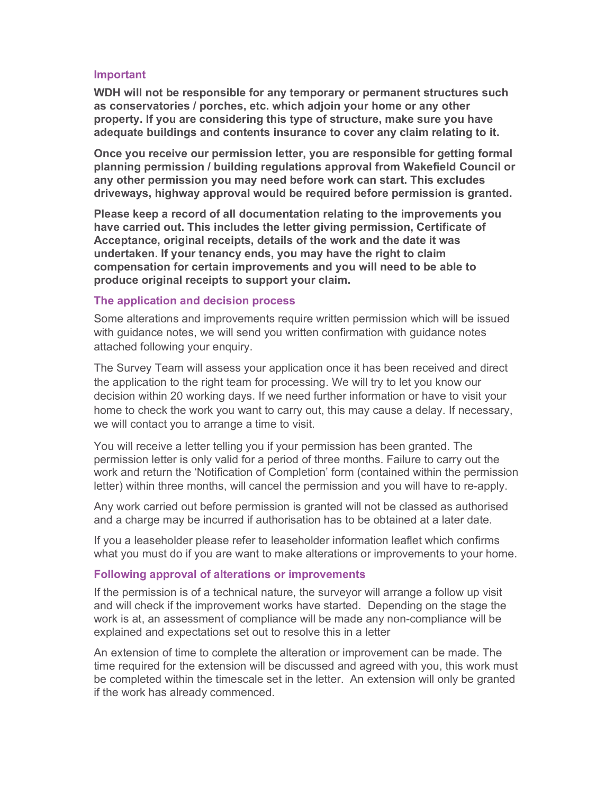#### Important

WDH will not be responsible for any temporary or permanent structures such as conservatories / porches, etc. which adjoin your home or any other property. If you are considering this type of structure, make sure you have adequate buildings and contents insurance to cover any claim relating to it.

Once you receive our permission letter, you are responsible for getting formal planning permission / building regulations approval from Wakefield Council or any other permission you may need before work can start. This excludes driveways, highway approval would be required before permission is granted.

Please keep a record of all documentation relating to the improvements you have carried out. This includes the letter giving permission, Certificate of Acceptance, original receipts, details of the work and the date it was undertaken. If your tenancy ends, you may have the right to claim compensation for certain improvements and you will need to be able to produce original receipts to support your claim.

#### The application and decision process

Some alterations and improvements require written permission which will be issued with guidance notes, we will send you written confirmation with guidance notes attached following your enquiry.

The Survey Team will assess your application once it has been received and direct the application to the right team for processing. We will try to let you know our decision within 20 working days. If we need further information or have to visit your home to check the work you want to carry out, this may cause a delay. If necessary, we will contact you to arrange a time to visit.

You will receive a letter telling you if your permission has been granted. The permission letter is only valid for a period of three months. Failure to carry out the work and return the 'Notification of Completion' form (contained within the permission letter) within three months, will cancel the permission and you will have to re-apply.

Any work carried out before permission is granted will not be classed as authorised and a charge may be incurred if authorisation has to be obtained at a later date.

If you a leaseholder please refer to leaseholder information leaflet which confirms what you must do if you are want to make alterations or improvements to your home.

#### Following approval of alterations or improvements

If the permission is of a technical nature, the surveyor will arrange a follow up visit and will check if the improvement works have started. Depending on the stage the work is at, an assessment of compliance will be made any non-compliance will be explained and expectations set out to resolve this in a letter

An extension of time to complete the alteration or improvement can be made. The time required for the extension will be discussed and agreed with you, this work must be completed within the timescale set in the letter. An extension will only be granted if the work has already commenced.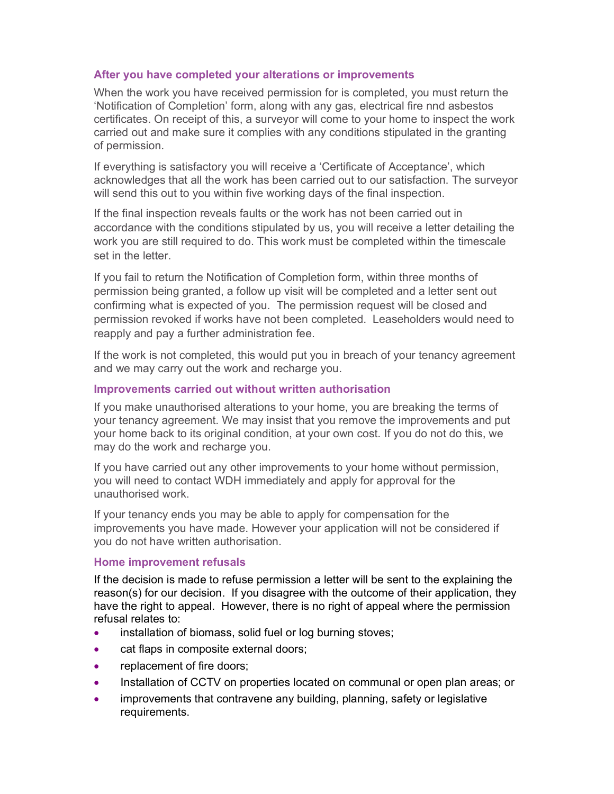## After you have completed your alterations or improvements

When the work you have received permission for is completed, you must return the 'Notification of Completion' form, along with any gas, electrical fire nnd asbestos certificates. On receipt of this, a surveyor will come to your home to inspect the work carried out and make sure it complies with any conditions stipulated in the granting of permission.

If everything is satisfactory you will receive a 'Certificate of Acceptance', which acknowledges that all the work has been carried out to our satisfaction. The surveyor will send this out to you within five working days of the final inspection.

If the final inspection reveals faults or the work has not been carried out in accordance with the conditions stipulated by us, you will receive a letter detailing the work you are still required to do. This work must be completed within the timescale set in the letter.

If you fail to return the Notification of Completion form, within three months of permission being granted, a follow up visit will be completed and a letter sent out confirming what is expected of you. The permission request will be closed and permission revoked if works have not been completed. Leaseholders would need to reapply and pay a further administration fee.

If the work is not completed, this would put you in breach of your tenancy agreement and we may carry out the work and recharge you.

## Improvements carried out without written authorisation

If you make unauthorised alterations to your home, you are breaking the terms of your tenancy agreement. We may insist that you remove the improvements and put your home back to its original condition, at your own cost. If you do not do this, we may do the work and recharge you.

If you have carried out any other improvements to your home without permission, you will need to contact WDH immediately and apply for approval for the unauthorised work.

If your tenancy ends you may be able to apply for compensation for the improvements you have made. However your application will not be considered if you do not have written authorisation.

## Home improvement refusals

If the decision is made to refuse permission a letter will be sent to the explaining the reason(s) for our decision. If you disagree with the outcome of their application, they have the right to appeal. However, there is no right of appeal where the permission refusal relates to:

- installation of biomass, solid fuel or log burning stoves;
- cat flaps in composite external doors;
- replacement of fire doors;
- Installation of CCTV on properties located on communal or open plan areas; or
- improvements that contravene any building, planning, safety or legislative requirements.